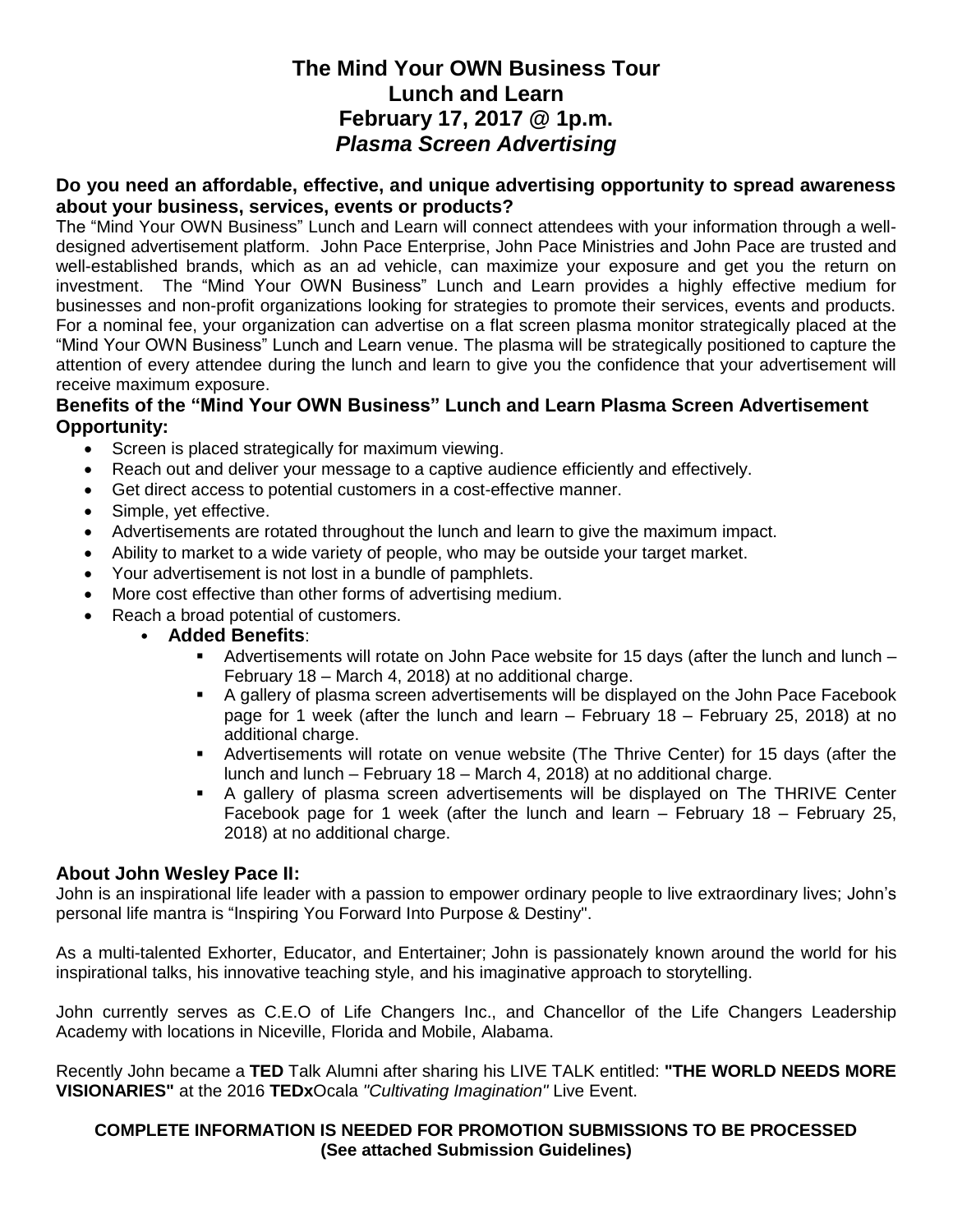# **The Mind Your OWN Business Tour Lunch and Learn February 17, 2017 @ 1p.m.** *Plasma Screen Advertising*

### **Do you need an affordable, effective, and unique advertising opportunity to spread awareness about your business, services, events or products?**

The "Mind Your OWN Business" Lunch and Learn will connect attendees with your information through a welldesigned advertisement platform. John Pace Enterprise, John Pace Ministries and John Pace are trusted and well-established brands, which as an ad vehicle, can maximize your exposure and get you the return on investment. The "Mind Your OWN Business" Lunch and Learn provides a highly effective medium for businesses and non-profit organizations looking for strategies to promote their services, events and products. For a nominal fee, your organization can advertise on a flat screen plasma monitor strategically placed at the "Mind Your OWN Business" Lunch and Learn venue. The plasma will be strategically positioned to capture the attention of every attendee during the lunch and learn to give you the confidence that your advertisement will receive maximum exposure.

### **Benefits of the "Mind Your OWN Business" Lunch and Learn Plasma Screen Advertisement Opportunity:**

- Screen is placed strategically for maximum viewing.
- Reach out and deliver your message to a captive audience efficiently and effectively.
- Get direct access to potential customers in a cost-effective manner.
- Simple, yet effective.
- Advertisements are rotated throughout the lunch and learn to give the maximum impact.
- Ability to market to a wide variety of people, who may be outside your target market.
- Your advertisement is not lost in a bundle of pamphlets.
- More cost effective than other forms of advertising medium.
- Reach a broad potential of customers.
	- **Added Benefits**:
		- Advertisements will rotate on John Pace website for 15 days (after the lunch and lunch February 18 – March 4, 2018) at no additional charge.
		- A gallery of plasma screen advertisements will be displayed on the John Pace Facebook page for 1 week (after the lunch and learn – February 18 – February 25, 2018) at no additional charge.
		- **■** Advertisements will rotate on venue website (The Thrive Center) for 15 days (after the lunch and lunch – February 18 – March 4, 2018) at no additional charge.
		- A gallery of plasma screen advertisements will be displayed on The THRIVE Center Facebook page for 1 week (after the lunch and learn – February 18 – February 25, 2018) at no additional charge.

# **About John Wesley Pace II:**

John is an inspirational life leader with a passion to empower ordinary people to live extraordinary lives; John's personal life mantra is "Inspiring You Forward Into Purpose & Destiny".

As a multi-talented Exhorter, Educator, and Entertainer; John is passionately known around the world for his inspirational talks, his innovative teaching style, and his imaginative approach to storytelling.

John currently serves as C.E.O of Life Changers Inc., and Chancellor of the Life Changers Leadership Academy with locations in Niceville, Florida and Mobile, Alabama.

Recently John became a **TED** Talk Alumni after sharing his LIVE TALK entitled: **"THE WORLD NEEDS MORE VISIONARIES"** at the 2016 **TEDx**Ocala *"Cultivating Imagination"* Live Event.

#### **COMPLETE INFORMATION IS NEEDED FOR PROMOTION SUBMISSIONS TO BE PROCESSED (See attached Submission Guidelines)**